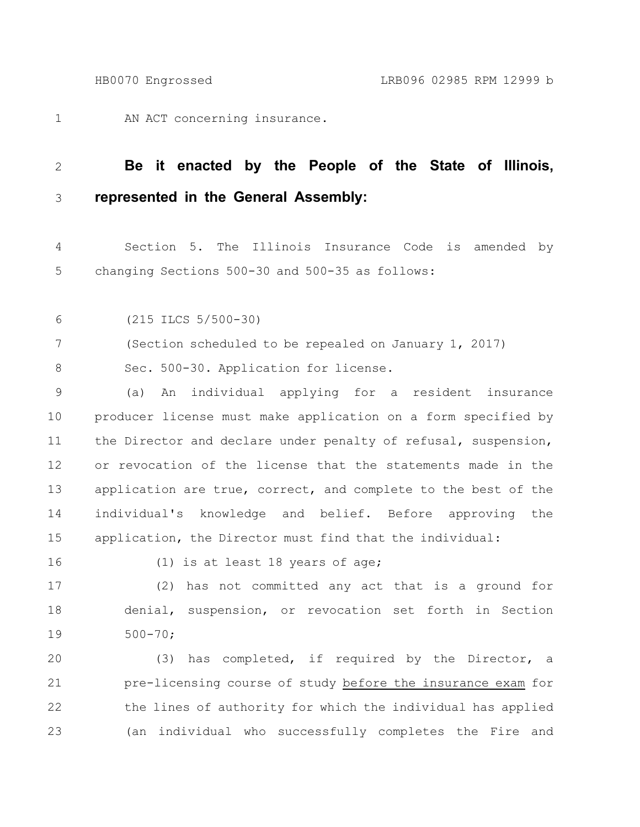AN ACT concerning insurance. 1

## **Be it enacted by the People of the State of Illinois, represented in the General Assembly:** 2 3

Section 5. The Illinois Insurance Code is amended by changing Sections 500-30 and 500-35 as follows: 4 5

(215 ILCS 5/500-30) 6

(Section scheduled to be repealed on January 1, 2017) 7

Sec. 500-30. Application for license. 8

(a) An individual applying for a resident insurance producer license must make application on a form specified by the Director and declare under penalty of refusal, suspension, or revocation of the license that the statements made in the application are true, correct, and complete to the best of the individual's knowledge and belief. Before approving the application, the Director must find that the individual: 9 10 11 12 13 14 15

16

(1) is at least 18 years of age;

(2) has not committed any act that is a ground for denial, suspension, or revocation set forth in Section 500-70; 17 18 19

(3) has completed, if required by the Director, a pre-licensing course of study before the insurance exam for the lines of authority for which the individual has applied (an individual who successfully completes the Fire and 20 21 22 23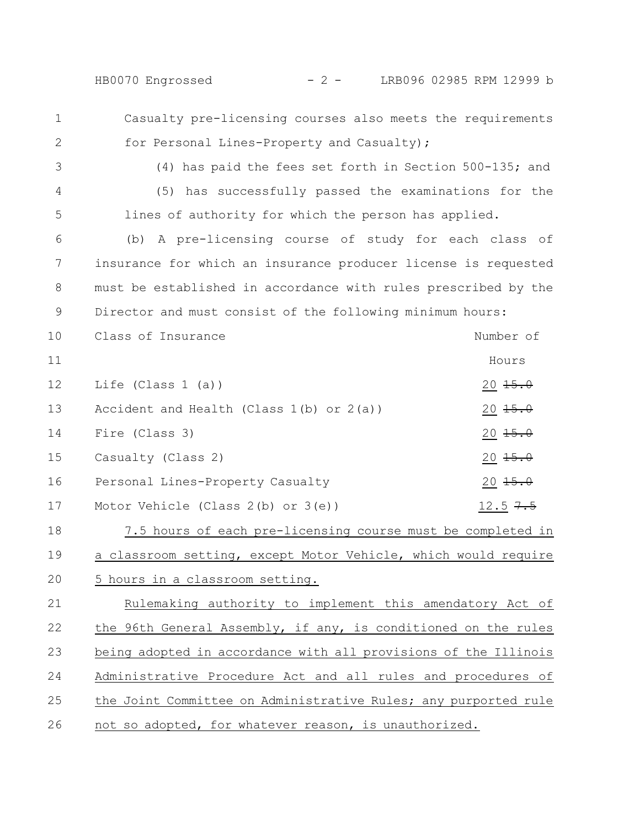HB0070 Engrossed - 2 - LRB096 02985 RPM 12999 b

- Casualty pre-licensing courses also meets the requirements for Personal Lines-Property and Casualty); 1 2
- 3

4

5

(4) has paid the fees set forth in Section 500-135; and (5) has successfully passed the examinations for the lines of authority for which the person has applied.

(b) A pre-licensing course of study for each class of insurance for which an insurance producer license is requested must be established in accordance with rules prescribed by the Director and must consist of the following minimum hours: 6 7 8 9

Class of Insurance Number of Hours Life (Class 1 (a))  $20 \frac{15.0}{15.0}$ Accident and Health (Class  $1(b)$  or  $2(a)$ ) 20  $15.0$ Fire (Class 3)  $20 \frac{15.0}{15.0}$  $\frac{20}{15.0}$  20 15.0 Personal Lines-Property Casualty 20 15.0 Motor Vehicle (Class 2(b) or 3(e)) 12.5  $7.5$ 10 11 12 13 14 15 16 17

7.5 hours of each pre-licensing course must be completed in a classroom setting, except Motor Vehicle, which would require 5 hours in a classroom setting. 18 19 20

Rulemaking authority to implement this amendatory Act of the 96th General Assembly, if any, is conditioned on the rules being adopted in accordance with all provisions of the Illinois Administrative Procedure Act and all rules and procedures of the Joint Committee on Administrative Rules; any purported rule not so adopted, for whatever reason, is unauthorized. 21 22 23 24 25 26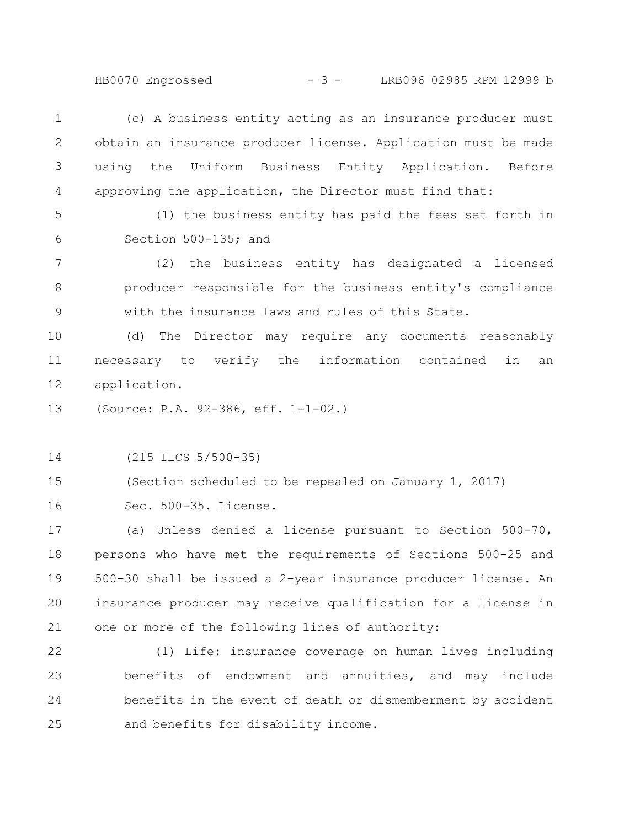HB0070 Engrossed - 3 - LRB096 02985 RPM 12999 b

(c) A business entity acting as an insurance producer must obtain an insurance producer license. Application must be made using the Uniform Business Entity Application. Before approving the application, the Director must find that: 1 2 3 4

5

6

(1) the business entity has paid the fees set forth in Section 500-135; and

(2) the business entity has designated a licensed producer responsible for the business entity's compliance with the insurance laws and rules of this State. 7 8 9

(d) The Director may require any documents reasonably necessary to verify the information contained in an application. 10 11 12

(Source: P.A. 92-386, eff. 1-1-02.) 13

(215 ILCS 5/500-35) 14

(Section scheduled to be repealed on January 1, 2017) 15

Sec. 500-35. License. 16

(a) Unless denied a license pursuant to Section 500-70, persons who have met the requirements of Sections 500-25 and 500-30 shall be issued a 2-year insurance producer license. An insurance producer may receive qualification for a license in one or more of the following lines of authority: 17 18 19 20 21

(1) Life: insurance coverage on human lives including benefits of endowment and annuities, and may include benefits in the event of death or dismemberment by accident and benefits for disability income. 22 23 24 25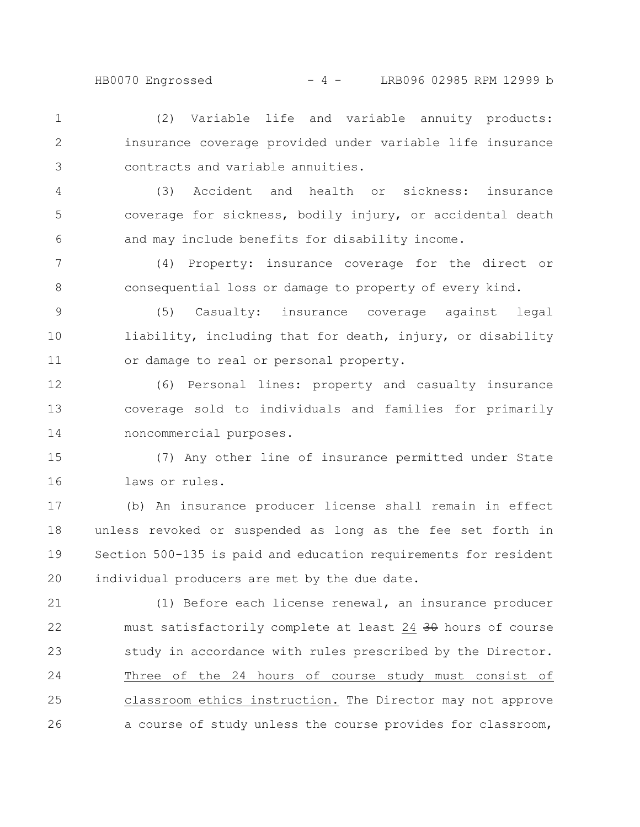(2) Variable life and variable annuity products: insurance coverage provided under variable life insurance contracts and variable annuities. 1 2 3

(3) Accident and health or sickness: insurance coverage for sickness, bodily injury, or accidental death and may include benefits for disability income. 4 5 6

(4) Property: insurance coverage for the direct or consequential loss or damage to property of every kind. 7 8

(5) Casualty: insurance coverage against legal liability, including that for death, injury, or disability or damage to real or personal property. 9 10 11

(6) Personal lines: property and casualty insurance coverage sold to individuals and families for primarily noncommercial purposes. 12 13 14

(7) Any other line of insurance permitted under State laws or rules. 15 16

(b) An insurance producer license shall remain in effect unless revoked or suspended as long as the fee set forth in Section 500-135 is paid and education requirements for resident individual producers are met by the due date. 17 18 19 20

(1) Before each license renewal, an insurance producer must satisfactorily complete at least 24 30 hours of course study in accordance with rules prescribed by the Director. Three of the 24 hours of course study must consist of classroom ethics instruction. The Director may not approve a course of study unless the course provides for classroom, 21 22 23 24 25 26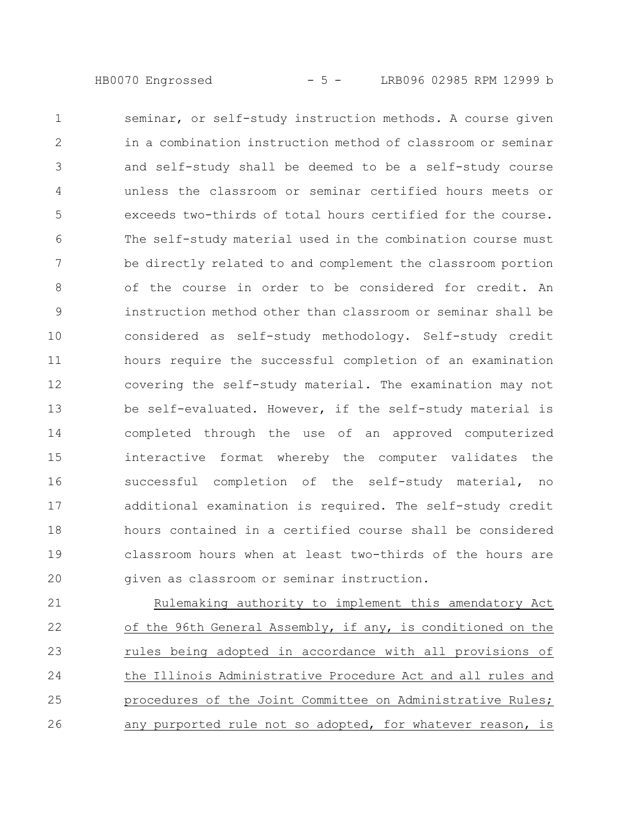HB0070 Engrossed - 5 - LRB096 02985 RPM 12999 b

seminar, or self-study instruction methods. A course given in a combination instruction method of classroom or seminar and self-study shall be deemed to be a self-study course unless the classroom or seminar certified hours meets or exceeds two-thirds of total hours certified for the course. The self-study material used in the combination course must be directly related to and complement the classroom portion of the course in order to be considered for credit. An instruction method other than classroom or seminar shall be considered as self-study methodology. Self-study credit hours require the successful completion of an examination covering the self-study material. The examination may not be self-evaluated. However, if the self-study material is completed through the use of an approved computerized interactive format whereby the computer validates the successful completion of the self-study material, no additional examination is required. The self-study credit hours contained in a certified course shall be considered classroom hours when at least two-thirds of the hours are given as classroom or seminar instruction. 1 2 3 4 5 6 7 8 9 10 11 12 13 14 15 16 17 18 19 20

Rulemaking authority to implement this amendatory Act of the 96th General Assembly, if any, is conditioned on the rules being adopted in accordance with all provisions of the Illinois Administrative Procedure Act and all rules and procedures of the Joint Committee on Administrative Rules; any purported rule not so adopted, for whatever reason, is 21 22 23 24 25 26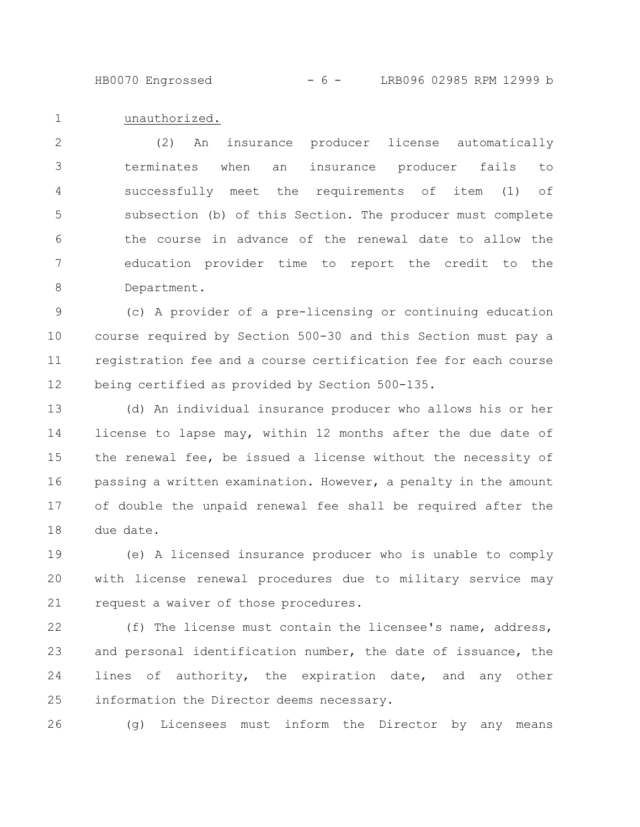HB0070 Engrossed - 6 - LRB096 02985 RPM 12999 b

unauthorized. 1

(2) An insurance producer license automatically terminates when an insurance producer fails to successfully meet the requirements of item (1) of subsection (b) of this Section. The producer must complete the course in advance of the renewal date to allow the education provider time to report the credit to the Department. 2 3 4 5 6 7 8

(c) A provider of a pre-licensing or continuing education course required by Section 500-30 and this Section must pay a registration fee and a course certification fee for each course being certified as provided by Section 500-135. 9 10 11 12

(d) An individual insurance producer who allows his or her license to lapse may, within 12 months after the due date of the renewal fee, be issued a license without the necessity of passing a written examination. However, a penalty in the amount of double the unpaid renewal fee shall be required after the due date. 13 14 15 16 17 18

(e) A licensed insurance producer who is unable to comply with license renewal procedures due to military service may request a waiver of those procedures. 19 20 21

(f) The license must contain the licensee's name, address, and personal identification number, the date of issuance, the lines of authority, the expiration date, and any other information the Director deems necessary. 22 23 24 25

(g) Licensees must inform the Director by any means 26